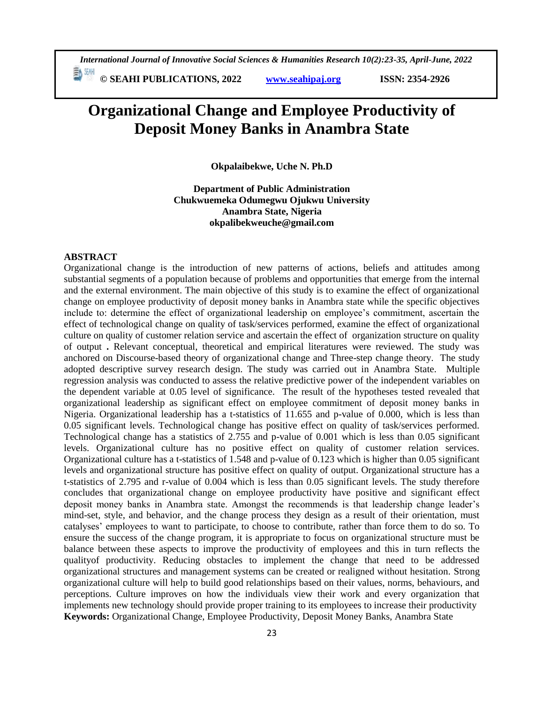*International Journal of Innovative Social Sciences & Humanities Research 10(2):23-35, April-June, 2022*

**E**<sup>[5]</sup> <sup>[3]</sup> © SEAHI PUBLICATIONS, 2022 *www.seahipaj.org* **ISSN: 2354-2926** 

# **Organizational Change and Employee Productivity of Deposit Money Banks in Anambra State**

**Okpalaibekwe, Uche N. Ph.D**

**Department of Public Administration Chukwuemeka Odumegwu Ojukwu University Anambra State, Nigeria okpalibekweuche@gmail.com**

# **ABSTRACT**

Organizational change is the introduction of new patterns of actions, beliefs and attitudes among substantial segments of a population because of problems and opportunities that emerge from the internal and the external environment. The main objective of this study is to examine the effect of organizational change on employee productivity of deposit money banks in Anambra state while the specific objectives include to: determine the effect of organizational leadership on employee's commitment, ascertain the effect of technological change on quality of task/services performed, examine the effect of organizational culture on quality of customer relation service and ascertain the effect of organization structure on quality of output **.** Relevant conceptual, theoretical and empirical literatures were reviewed. The study was anchored on Discourse-based theory of organizational change and Three-step change theory. The study adopted descriptive survey research design. The study was carried out in Anambra State. Multiple regression analysis was conducted to assess the relative predictive power of the independent variables on the dependent variable at 0.05 level of significance. The result of the hypotheses tested revealed that organizational leadership as significant effect on employee commitment of deposit money banks in Nigeria. Organizational leadership has a t-statistics of 11.655 and p-value of 0.000, which is less than 0.05 significant levels. Technological change has positive effect on quality of task/services performed. Technological change has a statistics of 2.755 and p-value of 0.001 which is less than 0.05 significant levels. Organizational culture has no positive effect on quality of customer relation services. Organizational culture has a t-statistics of 1.548 and p-value of 0.123 which is higher than 0.05 significant levels and organizational structure has positive effect on quality of output. Organizational structure has a t-statistics of 2.795 and r-value of 0.004 which is less than 0.05 significant levels. The study therefore concludes that organizational change on employee productivity have positive and significant effect deposit money banks in Anambra state. Amongst the recommends is that leadership change leader's mind-set, style, and behavior, and the change process they design as a result of their orientation, must catalyses' employees to want to participate, to choose to contribute, rather than force them to do so. To ensure the success of the change program, it is appropriate to focus on organizational structure must be balance between these aspects to improve the productivity of employees and this in turn reflects the qualityof productivity. Reducing obstacles to implement the change that need to be addressed organizational structures and management systems can be created or realigned without hesitation. Strong organizational culture will help to build good relationships based on their values, norms, behaviours, and perceptions. Culture improves on how the individuals view their work and every organization that implements new technology should provide proper training to its employees to increase their productivity **Keywords:** Organizational Change, Employee Productivity, Deposit Money Banks, Anambra State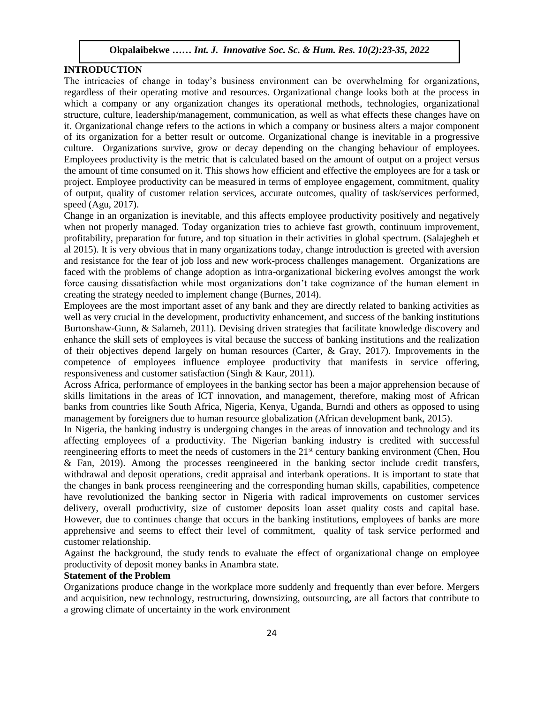### **INTRODUCTION**

The intricacies of change in today's business environment can be overwhelming for organizations, regardless of their operating motive and resources. Organizational change looks both at the process in which a company or any organization changes its operational methods, technologies, organizational structure, culture, leadership/management, communication, as well as what effects these changes have on it. Organizational change refers to the actions in which a company or business alters a major component of its organization for a better result or outcome. Organizational change is inevitable in a progressive culture. Organizations survive, grow or decay depending on the changing behaviour of employees. Employees productivity is the metric that is calculated based on the amount of output on a project versus the amount of time consumed on it. This shows how efficient and effective the employees are for a task or project. Employee productivity can be measured in terms of employee engagement, commitment, quality of output, quality of customer relation services, accurate outcomes, quality of task/services performed, speed (Agu, 2017).

Change in an organization is inevitable, and this affects employee productivity positively and negatively when not properly managed. Today organization tries to achieve fast growth, continuum improvement, profitability, preparation for future, and top situation in their activities in global spectrum. (Salajegheh et al 2015). It is very obvious that in many organizations today, change introduction is greeted with aversion and resistance for the fear of job loss and new work-process challenges management. Organizations are faced with the problems of change adoption as intra-organizational bickering evolves amongst the work force causing dissatisfaction while most organizations don't take cognizance of the human element in creating the strategy needed to implement change (Burnes, 2014).

Employees are the most important asset of any bank and they are directly related to banking activities as well as very crucial in the development, productivity enhancement, and success of the banking institutions  $R_{11}$ Burtonshaw-Gunn, & Salameh, 2011). Devising driven strategies that facilitate knowledge discovery and enhance the skill sets of employees is vital because the success of banking institutions and the realization of their objectives depend largely on human resources (Carter, & Gray, 2017). Improvements in the competence of employees influence employee productivity that manifests in service offering, responsiveness and customer satisfaction (Singh & Kaur, 2011).

Across Africa, performance of employees in the banking sector has been a major apprehension because of skills limitations in the areas of ICT innovation, and management, therefore, making most of African banks from countries like South Africa, Nigeria, Kenya, Uganda, Burndi and others as opposed to using management by foreigners due to human resource globalization (African development bank, 2015).

In Nigeria, the banking industry is undergoing changes in the areas of innovation and technology and its affecting employees of a productivity. The Nigerian banking industry is credited with successful reengineering efforts to meet the needs of customers in the 21<sup>st</sup> century banking environment (Chen, Hou & Fan, 2019). Among the processes reengineered in the banking sector include credit transfers, withdrawal and deposit operations, credit appraisal and interbank operations. It is important to state that the changes in bank process reengineering and the corresponding human skills, capabilities, competence have revolutionized the banking sector in Nigeria with radical improvements on customer services delivery, overall productivity, size of customer deposits loan asset quality costs and capital base. However, due to continues change that occurs in the banking institutions, employees of banks are more apprehensive and seems to effect their level of commitment, quality of task service performed and customer relationship.

Against the background, the study tends to evaluate the effect of organizational change on employee productivity of deposit money banks in Anambra state.

#### **Statement of the Problem**

Organizations produce change in the workplace more suddenly and frequently than ever before. Mergers and acquisition, new technology, restructuring, downsizing, outsourcing, are all factors that contribute to a growing climate of uncertainty in the work environment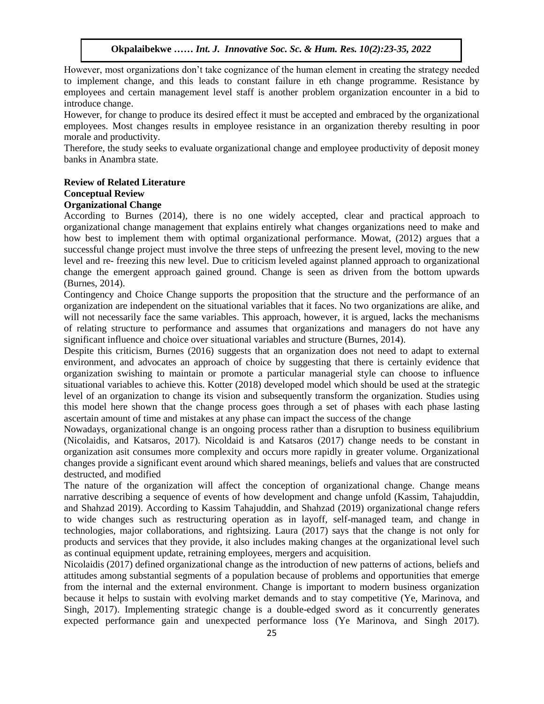However, most organizations don't take cognizance of the human element in creating the strategy needed to implement change, and this leads to constant failure in eth change programme. Resistance by employees and certain management level staff is another problem organization encounter in a bid to introduce change.

However, for change to produce its desired effect it must be accepted and embraced by the organizational employees. Most changes results in employee resistance in an organization thereby resulting in poor morale and productivity.  $\epsilon$  and productivity.

Therefore, the study seeks to evaluate organizational change and employee productivity of deposit money banks in Anambra state.

# **Review of Related Literature**

#### **Conceptual Review**

# **Organizational Change**

According to Burnes (2014), there is no one widely accepted, clear and practical approach to organizational change management that explains entirely what changes organizations need to make and how best to implement them with optimal organizational performance. Mowat, (2012) argues that a successful change project must involve the three steps of unfreezing the present level, moving to the new level and re- freezing this new level. Due to criticism leveled against planned approach to organizational change the emergent approach gained ground. Change is seen as driven from the bottom upwards (Burnes, 2014).

Contingency and Choice Change supports the proposition that the structure and the performance of an organization are independent on the situational variables that it faces. No two organizations are alike, and will not necessarily face the same variables. This approach, however, it is argued, lacks the mechanisms of relating structure to performance and assumes that organizations and managers do not have any significant influence and choice over situational variables and structure (Burnes, 2014).

Despite this criticism, Burnes (2016) suggests that an organization does not need to adapt to external environment, and advocates an approach of choice by suggesting that there is certainly evidence that organization swishing to maintain or promote a particular managerial style can choose to influence situational variables to achieve this. Kotter (2018) developed model which should be used at the strategic level of an organization to change its vision and subsequently transform the organization. Studies using this model here shown that the change process goes through a set of phases with each phase lasting ascertain amount of time and mistakes at any phase can impact the success of the change

Nowadays, organizational change is an ongoing process rather than a disruption to business equilibrium (Nicolaidis, and Katsaros, 2017). Nicoldaid is and Katsaros (2017) change needs to be constant in organization asit consumes more complexity and occurs more rapidly in greater volume. Organizational changes provide a significant event around which shared meanings, beliefs and values that are constructed destructed, and modified

The nature of the organization will affect the conception of organizational change. Change means narrative describing a sequence of events of how development and change unfold (Kassim, Tahajuddin, and Shahzad 2019). According to Kassim Tahajuddin, and Shahzad (2019) organizational change refers to wide changes such as restructuring operation as in layoff, self-managed team, and change in technologies, major collaborations, and rightsizing. Laura (2017) says that the change is not only for products and services that they provide, it also includes making changes at the organizational level such as continual equipment update, retraining employees, mergers and acquisition.

Nicolaidis (2017) defined organizational change as the introduction of new patterns of actions, beliefs and attitudes among substantial segments of a population because of problems and opportunities that emerge from the internal and the external environment. Change is important to modern business organization because it helps to sustain with evolving market demands and to stay competitive (Ye, Marinova, and Singh, 2017). Implementing strategic change is a double-edged sword as it concurrently generates expected performance gain and unexpected performance loss (Ye Marinova, and Singh 2017).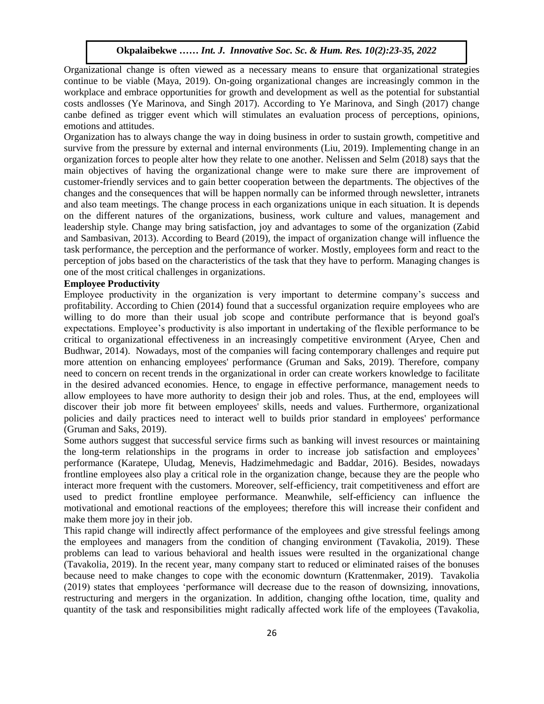Organizational change is often viewed as a necessary means to ensure that organizational strategies continue to be viable (Maya, 2019). On-going organizational changes are increasingly common in the workplace and embrace opportunities for growth and development as well as the potential for substantial  $\frac{1}{2}$ costs andlosses (Ye Marinova, and Singh 2017). According to Ye Marinova, and Singh (2017) change canbe defined as trigger event which will stimulates an evaluation process of perceptions, opinions, emotions and attitudes.

Organization has to always change the way in doing business in order to sustain growth, competitive and survive from the pressure by external and internal environments (Liu, 2019). Implementing change in an organization forces to people alter how they relate to one another. Nelissen and Selm (2018) says that the main objectives of having the organizational change were to make sure there are improvement of customer-friendly services and to gain better cooperation between the departments. The objectives of the changes and the consequences that will be happen normally can be informed through newsletter, intranets and also team meetings. The change process in each organizations unique in each situation. It is depends on the different natures of the organizations, business, work culture and values, management and leadership style. Change may bring satisfaction, joy and advantages to some of the organization (Zabid  $\frac{1}{2}$ and Sambasivan, 2013). According to Beard (2019), the impact of organization change will influence the task performance, the perception and the performance of worker. Mostly, employees form and react to the perception of jobs based on the characteristics of the task that they have to perform. Managing changes is one of the most critical challenges in organizations.

#### **Employee Productivity**

Employee productivity in the organization is very important to determine company's success and profitability. According to Chien (2014) found that a successful organization require employees who are willing to do more than their usual job scope and contribute performance that is beyond goal's whiling to do more than their usuar job scope and contribute performance that is beyond goars expectations. Employee's productivity is also important in undertaking of the flexible performance to be critical to organizational effectiveness in an increasingly competitive environment (Aryee, Chen and Budhwar, 2014). Nowadays, most of the companies will facing contemporary challenges and require put more attention on enhancing employees' performance (Gruman and Saks, 2019). Therefore, company more attention on emiancing employees performance (Grunal and Saks, 2013). Therefore, company<br>need to concern on recent trends in the organizational in order can create workers knowledge to facilitate in the desired advanced economies. Hence, to engage in effective performance, management needs to allow employees to have more authority to design their job and roles. Thus, at the end, employees will discover their job more fit between employees' skills, needs and values. Furthermore, organizational policies and daily practices need to interact well to builds prior standard in employees' performance (Gruman and Saks, 2019).

Some authors suggest that successful service firms such as banking will invest resources or maintaining the long-term relationships in the programs in order to increase job satisfaction and employees' performance (Karatepe, Uludag, Menevis, Hadzimehmedagic and Baddar, 2016). Besides, nowadays frontline employees also play a critical role in the organization change, because they are the people who interact more frequent with the customers. Moreover, self-efficiency, trait competitiveness and effort are used to predict frontline employee performance. Meanwhile, self-efficiency can influence the motivational and emotional reactions of the employees; therefore this will increase their confident and make them more joy in their job.

This rapid change will indirectly affect performance of the employees and give stressful feelings among the employees and managers from the condition of changing environment (Tavakolia, 2019). These problems can lead to various behavioral and health issues were resulted in the organizational change (Tavakolia, 2019). In the recent year, many company start to reduced or eliminated raises of the bonuses because need to make changes to cope with the economic downturn (Krattenmaker, 2019). Tavakolia (2019) states that employees 'performance will decrease due to the reason of downsizing, innovations, restructuring and mergers in the organization. In addition, changing ofthe location, time, quality and quantity of the task and responsibilities might radically affected work life of the employees (Tavakolia,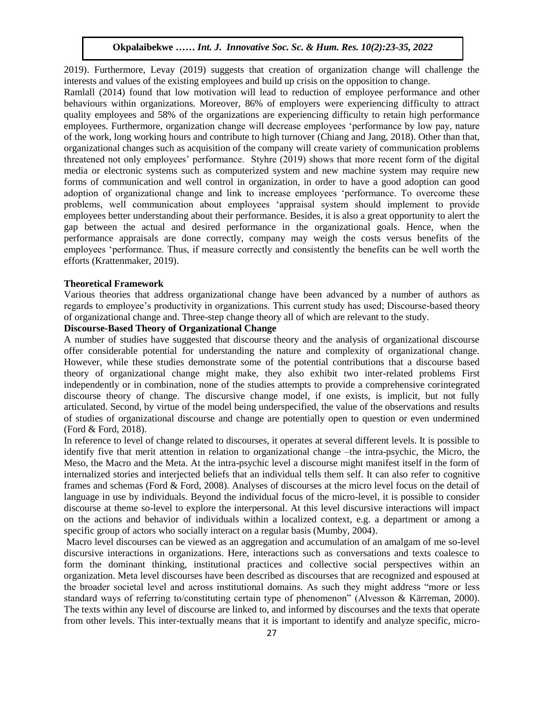2019). Furthermore, Levay (2019) suggests that creation of organization change will challenge the interests and values of the existing employees and build up crisis on the opposition to change.

Ramlall (2014) found that low motivation will lead to reduction of employee performance and other behaviours within organizations. Moreover, 86% of employers were experiencing difficulty to attract quality employees and 58% of the organizations are experiencing difficulty to retain high performance employees. Furthermore, organization change will decrease employees 'performance by low pay, nature of the work, long working hours and contribute to high turnover (Chiang and Jang, 2018). Other than that, organizational changes such as acquisition of the company will create variety of communication problems threatened not only employees' performance. Styhre (2019) shows that more recent form of the digital media or electronic systems such as computerized system and new machine system may require new forms of communication and well control in organization, in order to have a good adoption can good adoption of organizational change and link to increase employees 'performance. To overcome these problems, well communication about employees 'appraisal system should implement to provide employees better understanding about their performance. Besides, it is also a great opportunity to alert the gap between the actual and desired performance in the organizational goals. Hence, when the performance appraisals are done correctly, company may weigh the costs versus benefits of the employees 'performance. Thus, if measure correctly and consistently the benefits can be well worth the efforts (Krattenmaker, 2019).

## **Theoretical Framework**

Various theories that address organizational change have been advanced by a number of authors as regards to employee's productivity in organizations. This current study has used; Discourse-based theory of organizational change and. Three-step change theory all of which are relevant to the study.

# **Discourse-Based Theory of Organizational Change**

A number of studies have suggested that discourse theory and the analysis of organizational discourse offer considerable potential for understanding the nature and complexity of organizational change. However, while these studies demonstrate some of the potential contributions that a discourse based theory of organizational change might make, they also exhibit two inter-related problems First independently or in combination, none of the studies attempts to provide a comprehensive corintegrated discourse theory of change. The discursive change model, if one exists, is implicit, but not fully articulated. Second, by virtue of the model being underspecified, the value of the observations and results of studies of organizational discourse and change are potentially open to question or even undermined (Ford & Ford, 2018).

In reference to level of change related to discourses, it operates at several different levels. It is possible to identify five that merit attention in relation to organizational change –the intra-psychic, the Micro, the Meso, the Macro and the Meta. At the intra-psychic level a discourse might manifest itself in the form of internalized stories and interjected beliefs that an individual tells them self. It can also refer to cognitive frames and schemas (Ford & Ford, 2008). Analyses of discourses at the micro level focus on the detail of language in use by individuals. Beyond the individual focus of the micro-level, it is possible to consider discourse at theme so-level to explore the interpersonal. At this level discursive interactions will impact on the actions and behavior of individuals within a localized context, e.g. a department or among a specific group of actors who socially interact on a regular basis (Mumby, 2004).

Macro level discourses can be viewed as an aggregation and accumulation of an amalgam of me so-level discursive interactions in organizations. Here, interactions such as conversations and texts coalesce to form the dominant thinking, institutional practices and collective social perspectives within an organization. Meta level discourses have been described as discourses that are recognized and espoused at the broader societal level and across institutional domains. As such they might address "more or less standard ways of referring to/constituting certain type of phenomenon" (Alvesson & Kärreman, 2000). The texts within any level of discourse are linked to, and informed by discourses and the texts that operate from other levels. This inter-textually means that it is important to identify and analyze specific, micro-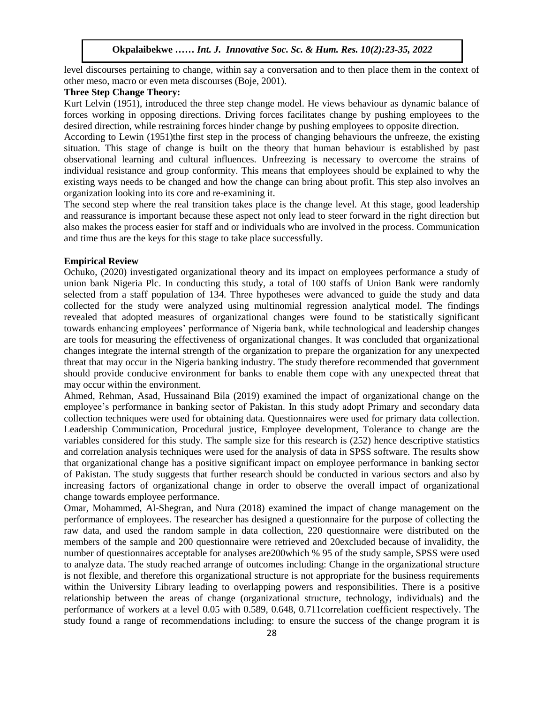level discourses pertaining to change, within say a conversation and to then place them in the context of other meso, macro or even meta discourses (Boje, 2001).

#### **Three Step Change Theory:**  Step Change Theory:

Kurt Lelvin (1951), introduced the three step change model. He views behaviour as dynamic balance of forces working in opposing directions. Driving forces facilitates change by pushing employees to the desired direction, while restraining forces hinder change by pushing employees to opposite direction.

According to Lewin (1951)the first step in the process of changing behaviours the unfreeze, the existing situation. This stage of change is built on the theory that human behaviour is established by past observational learning and cultural influences. Unfreezing is necessary to overcome the strains of individual resistance and group conformity. This means that employees should be explained to why the existing ways needs to be changed and how the change can bring about profit. This step also involves an organization looking into its core and re-examining it.

The second step where the real transition takes place is the change level. At this stage, good leadership and reassurance is important because these aspect not only lead to steer forward in the right direction but also makes the process easier for staff and or individuals who are involved in the process. Communication and time thus are the keys for this stage to take place successfully.

#### **Empirical Review**

Ochuko, (2020) investigated organizational theory and its impact on employees performance a study of union bank Nigeria Plc. In conducting this study, a total of 100 staffs of Union Bank were randomly selected from a staff population of 134. Three hypotheses were advanced to guide the study and data collected for the study were analyzed using multinomial regression analytical model. The findings revealed that adopted measures of organizational changes were found to be statistically significant towards enhancing employees' performance of Nigeria bank, while technological and leadership changes are tools for measuring the effectiveness of organizational changes. It was concluded that organizational changes integrate the internal strength of the organization to prepare the organization for any unexpected threat that may occur in the Nigeria banking industry. The study therefore recommended that government should provide conducive environment for banks to enable them cope with any unexpected threat that may occur within the environment.

Ahmed, Rehman, Asad, Hussainand Bila (2019) examined the impact of organizational change on the employee's performance in banking sector of Pakistan. In this study adopt Primary and secondary data collection techniques were used for obtaining data. Questionnaires were used for primary data collection. Leadership Communication, Procedural justice, Employee development, Tolerance to change are the variables considered for this study. The sample size for this research is (252) hence descriptive statistics and correlation analysis techniques were used for the analysis of data in SPSS software. The results show that organizational change has a positive significant impact on employee performance in banking sector of Pakistan. The study suggests that further research should be conducted in various sectors and also by increasing factors of organizational change in order to observe the overall impact of organizational change towards employee performance.

Omar, Mohammed, Al-Shegran, and Nura (2018) examined the impact of change management on the performance of employees. The researcher has designed a questionnaire for the purpose of collecting the raw data, and used the random sample in data collection, 220 questionnaire were distributed on the members of the sample and 200 questionnaire were retrieved and 20excluded because of invalidity, the number of questionnaires acceptable for analyses are200which % 95 of the study sample, SPSS were used to analyze data. The study reached arrange of outcomes including: Change in the organizational structure is not flexible, and therefore this organizational structure is not appropriate for the business requirements within the University Library leading to overlapping powers and responsibilities. There is a positive relationship between the areas of change (organizational structure, technology, individuals) and the performance of workers at a level 0.05 with 0.589, 0.648, 0.711correlation coefficient respectively. The study found a range of recommendations including: to ensure the success of the change program it is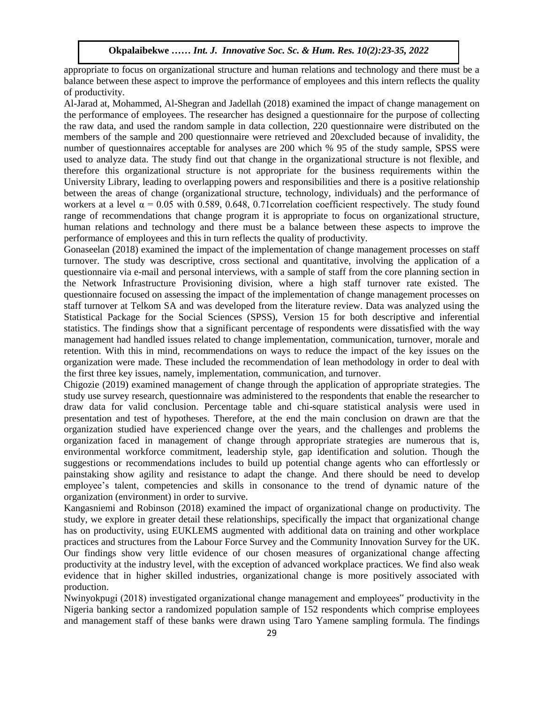appropriate to focus on organizational structure and human relations and technology and there must be a balance between these aspect to improve the performance of employees and this intern reflects the quality of productivity.  $\frac{1}{2}$  Maliciivity.

Al-Jarad at, Mohammed, Al-Shegran and Jadellah (2018) examined the impact of change management on the performance of employees. The researcher has designed a questionnaire for the purpose of collecting the raw data, and used the random sample in data collection, 220 questionnaire were distributed on the members of the sample and 200 questionnaire were retrieved and 20excluded because of invalidity, the number of questionnaires acceptable for analyses are 200 which % 95 of the study sample, SPSS were used to analyze data. The study find out that change in the organizational structure is not flexible, and therefore this organizational structure is not appropriate for the business requirements within the University Library, leading to overlapping powers and responsibilities and there is a positive relationship between the areas of change (organizational structure, technology, individuals) and the performance of workers at a level  $\alpha$  = 0.05 with 0.589, 0.648, 0.71 correlation coefficient respectively. The study found range of recommendations that change program it is appropriate to focus on organizational structure, human relations and technology and there must be a balance between these aspects to improve the performance of employees and this in turn reflects the quality of productivity.

Gonaseelan (2018) examined the impact of the implementation of change management processes on staff turnover. The study was descriptive, cross sectional and quantitative, involving the application of a questionnaire via e-mail and personal interviews, with a sample of staff from the core planning section in questionmane via e-man and personal interviews, with a sample of start from the core planning section in<br>the Network Infrastructure Provisioning division, where a high staff turnover rate existed. The questionnaire focused on assessing the impact of the implementation of change management processes on staff turnover at Telkom SA and was developed from the literature review. Data was analyzed using the Statistical Package for the Social Sciences (SPSS), Version 15 for both descriptive and inferential statistical Fackage for the Social Sciences (SFSS), Version 15 for both descriptive and interential<br>statistics. The findings show that a significant percentage of respondents were dissatisfied with the way management had handled issues related to change implementation, communication, turnover, morale and retention. With this in mind, recommendations on ways to reduce the impact of the key issues on the organization were made. These included the recommendation of lean methodology in order to deal with In gainzation were made. These included the recommendation of real methodologie the first three key issues, namely, implementation, communication, and turnover.

Chigozie (2019) examined management of change through the application of appropriate strategies. The study use survey research, questionnaire was administered to the respondents that enable the researcher to draw data for valid conclusion. Percentage table and chi-square statistical analysis were used in presentation and test of hypotheses. Therefore, at the end the main conclusion on drawn are that the organization studied have experienced change over the years, and the challenges and problems the organization faced in management of change through appropriate strategies are numerous that is, environmental workforce commitment, leadership style, gap identification and solution. Though the suggestions or recommendations includes to build up potential change agents who can effortlessly or painstaking show agility and resistance to adapt the change. And there should be need to develop employee's talent, competencies and skills in consonance to the trend of dynamic nature of the organization (environment) in order to survive.

Kangasniemi and Robinson (2018) examined the impact of organizational change on productivity. The study, we explore in greater detail these relationships, specifically the impact that organizational change has on productivity, using EUKLEMS augmented with additional data on training and other workplace practices and structures from the Labour Force Survey and the Community Innovation Survey for the UK. Our findings show very little evidence of our chosen measures of organizational change affecting productivity at the industry level, with the exception of advanced workplace practices. We find also weak evidence that in higher skilled industries, organizational change is more positively associated with production.

Nwinyokpugi (2018) investigated organizational change management and employees" productivity in the Nigeria banking sector a randomized population sample of 152 respondents which comprise employees and management staff of these banks were drawn using Taro Yamene sampling formula. The findings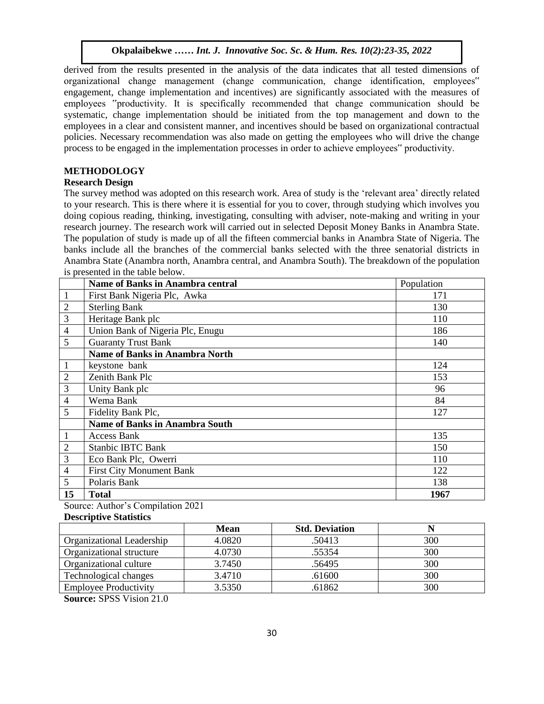derived from the results presented in the analysis of the data indicates that all tested dimensions of organizational change management (change communication, change identification, employees" engagement, change implementation and incentives) are significantly associated with the measures of employees "productivity. It is specifically recommended that change communication should be systematic, change implementation should be initiated from the top management and down to the employees in a clear and consistent manner, and incentives should be based on organizational contractual policies. Necessary recommendation was also made on getting the employees who will drive the change process to be engaged in the implementation processes in order to achieve employees" productivity.

# **METHODOLOGY**

# **Research Design**

**Research Design**<br>The survey method was adopted on this research work. Area of study is the 'relevant area' directly related to your research. This is there where it is essential for you to cover, through studying which involves you doing copious reading, thinking, investigating, consulting with adviser, note-making and writing in your research journey. The research work will carried out in selected Deposit Money Banks in Anambra State. research journey. The research work win carried out in selected Deposit Money Banks in Anambra State.<br>The population of study is made up of all the fifteen commercial banks in Anambra State of Nigeria. The banks include all the branches of the commercial banks selected with the three senatorial districts in Anambra State (Anambra north, Anambra central, and Anambra South). The breakdown of the population  $\frac{1}{2}$  is presented in the table below.

|                | <b>Name of Banks in Anambra central</b> | Population |
|----------------|-----------------------------------------|------------|
| $\mathbf{1}$   | First Bank Nigeria Plc, Awka            | 171        |
| $\mathbf{2}$   | <b>Sterling Bank</b>                    | 130        |
| 3              | Heritage Bank plc                       | 110        |
| $\overline{4}$ | Union Bank of Nigeria Plc, Enugu        | 186        |
| 5              | <b>Guaranty Trust Bank</b>              | 140        |
|                | <b>Name of Banks in Anambra North</b>   |            |
| $\mathbf{1}$   | keystone bank                           | 124        |
| $\mathfrak{2}$ | Zenith Bank Plc                         | 153        |
| 3              | Unity Bank plc                          | 96         |
| $\overline{4}$ | Wema Bank                               | 84         |
| 5              | Fidelity Bank Plc,                      | 127        |
|                | <b>Name of Banks in Anambra South</b>   |            |
| $\mathbf{1}$   | <b>Access Bank</b>                      | 135        |
| $\overline{2}$ | <b>Stanbic IBTC Bank</b>                | 150        |
| 3              | Eco Bank Plc, Owerri                    | 110        |
| $\overline{4}$ | <b>First City Monument Bank</b>         | 122        |
| 5              | Polaris Bank                            | 138        |
| 15             | Total                                   | 1967       |

Source: Author's Compilation 2021

#### **Descriptive Statistics**

|                              | <b>Mean</b> | <b>Std. Deviation</b> |     |
|------------------------------|-------------|-----------------------|-----|
| Organizational Leadership    | 4.0820      | .50413                | 300 |
| Organizational structure     | 4.0730      | .55354                | 300 |
| Organizational culture       | 3.7450      | .56495                | 300 |
| Technological changes        | 3.4710      | .61600                | 300 |
| <b>Employee Productivity</b> | 3.5350      | .61862                | 300 |

**Source:** SPSS Vision 21.0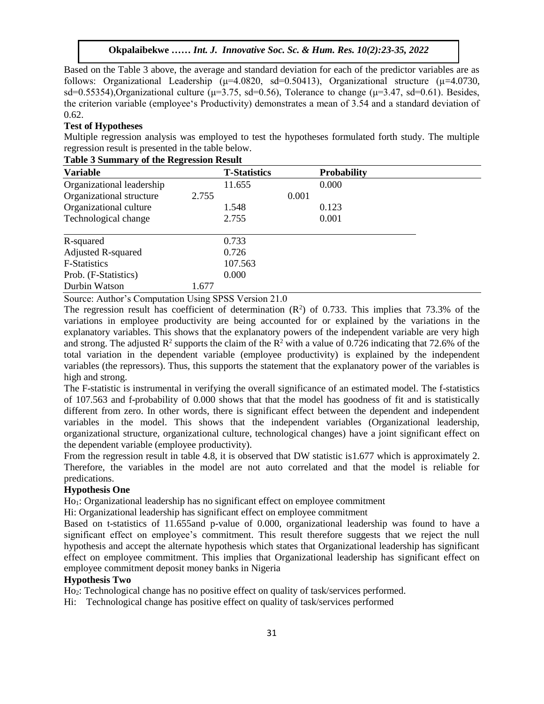**Okpalaibekwe** *…… Int. J. Innovative Soc. Sc. & Hum. Res. 10(2):23-35, 2022*

Based on the Table 3 above, the average and standard deviation for each of the predictor variables are as follows: Organizational Leadership ( $\mu$ =4.0820, sd=0.50413), Organizational structure ( $\mu$ =4.0730, sd=0.55354),Organizational culture ( $\mu$ =3.75, sd=0.56), Tolerance to change ( $\mu$ =3.47, sd=0.61). Besides, the criterion variable (employee's Productivity) demonstrates a mean of 3.54 and a standard deviation of 0.62.

#### **Test of Hypotheses**

Multiple regression analysis was employed to test the hypotheses formulated forth study. The multiple regression result is presented in the table below.

| <b>Variable</b>           |       | <b>T-Statistics</b> |       | <b>Probability</b> |  |
|---------------------------|-------|---------------------|-------|--------------------|--|
| Organizational leadership |       | 11.655              |       | 0.000              |  |
| Organizational structure  | 2.755 |                     | 0.001 |                    |  |
| Organizational culture    |       | 1.548               |       | 0.123              |  |
| Technological change      |       | 2.755               |       | 0.001              |  |
| R-squared                 |       | 0.733               |       |                    |  |
| <b>Adjusted R-squared</b> |       | 0.726               |       |                    |  |
| <b>F-Statistics</b>       |       | 107.563             |       |                    |  |
| Prob. (F-Statistics)      |       | 0.000               |       |                    |  |
| Durbin Watson             | 1.677 |                     |       |                    |  |

#### **Table 3 Summary of the Regression Result**

Source: Author's Computation Using SPSS Version 21.0

The regression result has coefficient of determination  $(R^2)$  of 0.733. This implies that 73.3% of the variations in employee productivity are being accounted for or explained by the variations in the explanatory variables. This shows that the explanatory powers of the independent variable are very high and strong. The adjusted  $\mathbb{R}^2$  supports the claim of the  $\mathbb{R}^2$  with a value of 0.726 indicating that 72.6% of the total variation in the dependent variable (employee productivity) is explained by the independent variables (the repressors). Thus, this supports the statement that the explanatory power of the variables is high and strong.

The F-statistic is instrumental in verifying the overall significance of an estimated model. The f-statistics of 107.563 and f-probability of 0.000 shows that that the model has goodness of fit and is statistically different from zero. In other words, there is significant effect between the dependent and independent variables in the model. This shows that the independent variables (Organizational leadership, organizational structure, organizational culture, technological changes) have a joint significant effect on the dependent variable (employee productivity).

From the regression result in table 4.8, it is observed that DW statistic is 1.677 which is approximately 2. Therefore, the variables in the model are not auto correlated and that the model is reliable for predications.

#### **Hypothesis One**

Ho1: Organizational leadership has no significant effect on employee commitment

Hi: Organizational leadership has significant effect on employee commitment

Based on t-statistics of 11.655and p-value of 0.000, organizational leadership was found to have a significant effect on employee's commitment. This result therefore suggests that we reject the null hypothesis and accept the alternate hypothesis which states that Organizational leadership has significant effect on employee commitment. This implies that Organizational leadership has significant effect on employee commitment deposit money banks in Nigeria

#### **Hypothesis Two**

Ho2: Technological change has no positive effect on quality of task/services performed.

Hi: Technological change has positive effect on quality of task/services performed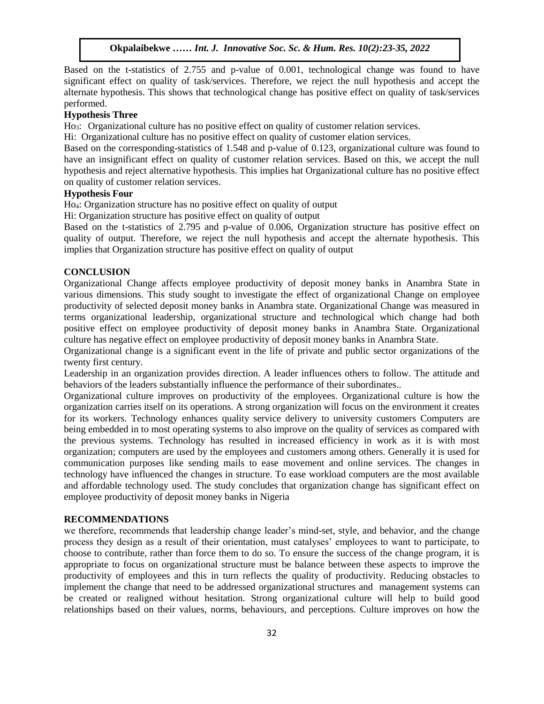Based on the t-statistics of 2.755 and p-value of 0.001, technological change was found to have significant effect on quality of task/services. Therefore, we reject the null hypothesis and accept the alternate hypothesis. This shows that technological change has positive effect on quality of task/services performed.

#### **Hypothesis Three**

Ho3: Organizational culture has no positive effect on quality of customer relation services.

Hi: Organizational culture has no positive effect on quality of customer elation services.

Based on the corresponding-statistics of 1.548 and p-value of 0.123, organizational culture was found to have an insignificant effect on quality of customer relation services. Based on this, we accept the null hypothesis and reject alternative hypothesis. This implies hat Organizational culture has no positive effect on quality of customer relation services.

# **Hypothesis Four**

Ho4: Organization structure has no positive effect on quality of output

Hi: Organization structure has positive effect on quality of output

Based on the t-statistics of 2.795 and p-value of 0.006, Organization structure has positive effect on quality of output. Therefore, we reject the null hypothesis and accept the alternate hypothesis. This implies that Organization structure has positive effect on quality of output

#### **CONCLUSION**  Arugu  $\mathcal{L}$  is a Most model with  $\mathcal{L}$  in the Soc. Sc.  $\mathcal{L}$

Organizational Change affects employee productivity of deposit money banks in Anambra State in various dimensions. This study sought to investigate the effect of organizational Change on employee productivity of selected deposit money banks in Anambra state. Organizational Change was measured in terms organizational leadership, organizational structure and technological which change had both positive effect on employee productivity of deposit money banks in Anambra State. Organizational culture has negative effect on employee productivity of deposit money banks in Anambra State.

Organizational change is a significant event in the life of private and public sector organizations of the twenty first century. Arugu & World …… Internative Soc. Sc. & Hum. Res. 8(1):1-11, 2020. Sc. 8(1):1-11, 2020. Sc. 8(1):1-11, 2020. Sc. 8(1):1-11, 2020. Sc. 8(1):1-11, 2020. Sc. 8(1):1-11, 2020. Sc. 8(1):1-11, 2020. Sc. 8(1):1-11, 2020. Sc. 8(1)

Leadership in an organization provides direction. A leader influences others to follow. The attitude and behaviors of the leaders substantially influence the performance of their subordinates..

Organizational culture improves on productivity of the employees. Organizational culture is how the organization carries itself on its operations. A strong organization will focus on the environment it creates for its workers. Technology enhances quality service delivery to university customers Computers are being embedded in to most operating systems to also improve on the quality of services as compared with the previous systems. Technology has resulted in increased efficiency in work as it is with most organization; computers are used by the employees and customers among others. Generally it is used for communication purposes like sending mails to ease movement and online services. The changes in technology have influenced the changes in structure. To ease workload computers are the most available and affordable technology used. The study concludes that organization change has significant effect on employee productivity of deposit money banks in Nigeria

# **RECOMMENDATIONS**

we therefore, recommends that leadership change leader's mind-set, style, and behavior, and the change process they design as a result of their orientation, must catalyses' employees to want to participate, to choose to contribute, rather than force them to do so. To ensure the success of the change program, it is appropriate to focus on organizational structure must be balance between these aspects to improve the productivity of employees and this in turn reflects the quality of productivity. Reducing obstacles to implement the change that need to be addressed organizational structures and management systems can be created or realigned without hesitation. Strong organizational culture will help to build good relationships based on their values, norms, behaviours, and perceptions. Culture improves on how the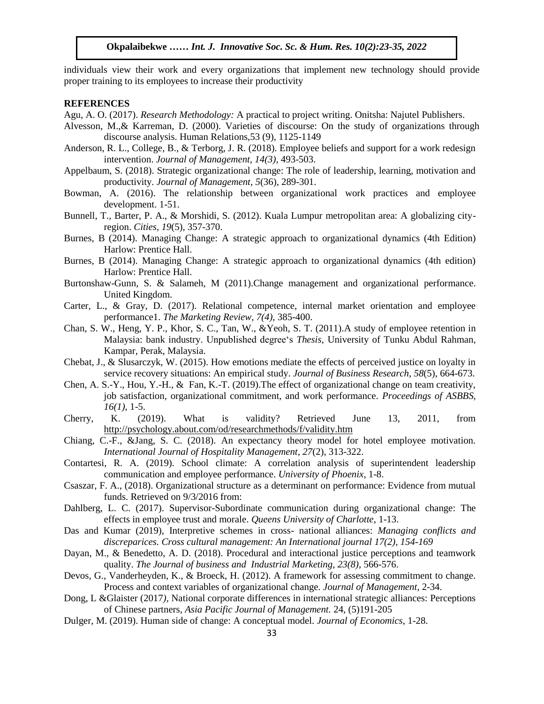individuals view their work and every organizations that implement new technology should provide proper training to its employees to increase their productivity

#### **REFERENCES**

Agu, A. O. (2017). *Research Methodology:* A practical to project writing. Onitsha: Najutel Publishers.

- Alvesson, M.,& Karreman, D. (2000). Varieties of discourse: On the study of organizations through discourse analysis. Human Relations, 53 (9), 1125-1149
- Anderson, R. L., College, B., & Terborg, J. R. (2018). Employee beliefs and support for a work redesign intervention. *Journal of Management, 14(3)*, 493-503.
- Appelbaum, S. (2018). Strategic organizational change: The role of leadership, learning, motivation and productivity. *Journal of Management*, 5(36), 289-301.
- Bowman, A. (2016). The relationship between organizational work practices and employee development. 1-51.
- Bunnell, T., Barter, P. A., & Morshidi, S. (2012). Kuala Lumpur metropolitan area: A globalizing cityregion. *Cities*, 19(5), 357-370.
- Burnes, B (2014). Managing Change: A strategic approach to organizational dynamics (4th Edition) Harlow: Prentice Hall.
- Burnes, B (2014). Managing Change: A strategic approach to organizational dynamics (4th edition) Harlow: Prentice Hall.
- Burtonshaw-Gunn, S. & Salameh, M (2011).Change management and organizational performance. United Kingdom.
- Carter, L., & Gray, D. (2017). Relational competence, internal market orientation and employee performance1. The Marketing Review, 7(4), 385-400.
- Chan, S. W., Heng, Y. P., Khor, S. C., Tan, W., &Yeoh, S. T. (2011).A study of employee retention in Malaysia: bank industry. Unpublished degree's *Thesis,* University of Tunku Abdul Rahman, Kampar, Perak, Malaysia.
- Chebat, J., & Slusarczyk, W. (2015). How emotions mediate the effects of perceived justice on loyalty in service recovery situations: An empirical study. *Journal of Business Research*, *58*(5), 664-673.
- Chen, A. S.-Y., Hou, Y.-H., & Fan, K.-T. (2019).The effect of organizational change on team creativity, job satisfaction, organizational commitment, and work performance. *Proceedings of ASBBS, 16(1)*, 1-5.
- Cherry, K. (2019). What is validity? Retrieved June 13, 2011, from <http://psychology.about.com/od/researchmethods/f/validity.htm>
- Chiang, C.-F., &Jang, S. C. (2018). An expectancy theory model for hotel employee motivation. *International Journal of Hospitality Management, 27*(2), 313-322.
- Contartesi, R. A. (2019). School climate: A correlation analysis of superintendent leadership communication and employee performance. *University of Phoenix*, 1-8.
- Csaszar, F. A., (2018). Organizational structure as a determinant on performance: Evidence from mutual funds. Retrieved on 9/3/2016 from:
- Dahlberg, L. C. (2017). Supervisor-Subordinate communication during organizational change: The effects in employee trust and morale. *Queens University of Charlotte*, 1-13.
- Das and Kumar (2019), Interpretive schemes in cross- national alliances: *Managing conflicts and discreparices. Cross cultural management: An International journal 17(2), 154-169*
- Dayan, M., & Benedetto, A. D. (2018). Procedural and interactional justice perceptions and teamwork quality. *The Journal of business and Industrial Marketing, 23(8)*, 566-576.
- Devos, G., Vanderheyden, K., & Broeck, H. (2012). A framework for assessing commitment to change. Process and context variables of organizational change. *Journal of Management*, 2-34.
- Dong, L &Glaister (2017*),* National corporate differences in international strategic alliances: Perceptions of Chinese partners, *Asia Pacific Journal of Management.* 24, (5)191-205
- Dulger, M. (2019). Human side of change: A conceptual model. *Journal of Economics*, 1-28.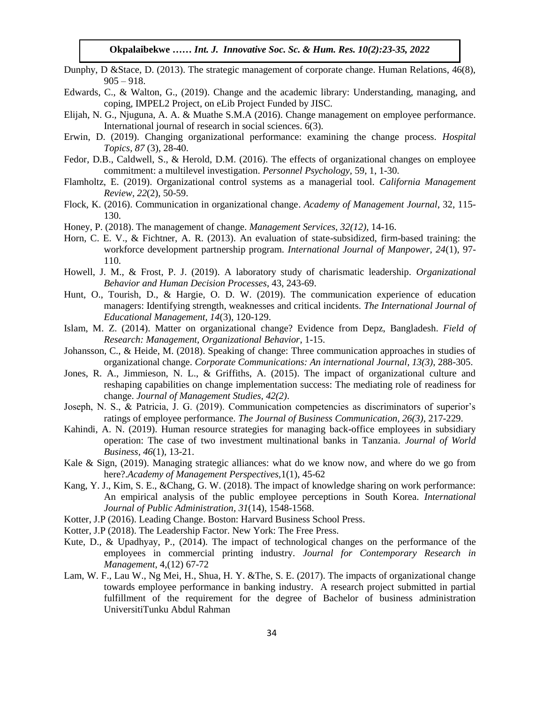- Dunphy, D &Stace, D. (2013). The strategic management of corporate change. Human Relations, 46(8),  $905 - 918.$
- Edwards, C., & Walton, G., (2019). Change and the academic library: Understanding, managing, and coping, IMPEL2 Project, on eLib Project Funded by JISC.
- Elijah, N. G., Njuguna, A. A. & Muathe S.M.A (2016). Change management on employee performance. International journal of research in social sciences. 6(3).
- Erwin, D. (2019). Changing organizational performance: examining the change process. Hospital *Topics, 87* (3), 28-40.
- Fedor, D.B., Caldwell, S., & Herold, D.M. (2016). The effects of organizational changes on employee commitment: a multilevel investigation. *Personnel Psychology,* 59, 1, 1-30.
- Flamholtz, E. (2019). Organizational control systems as a managerial tool. California Management *Review, 22*(2), 50-59.
- Flock, K. (2016). Communication in organizational change. *Academy of Management Journal*, 32, 115- 130.
- Honey, P. (2018). The management of change. *Management Services, 32(12)*, 14-16.
- Horn, C. E. V., & Fichtner, A. R. (2013). An evaluation of state-subsidized, firm-based training: the workforce development partnership program. *International Journal of Manpower, 24*(1), 97- 110.
- Howell, J. M., & Frost, P. J. (2019). A laboratory study of charismatic leadership. *Organizational Behavior and Human Decision Processes*, 43, 243-69.
- Hunt, O., Tourish, D., & Hargie, O. D. W. (2019). The communication experience of education managers: Identifying strength, weaknesses and critical incidents. *The International Journal of Educational Management, 14*(3), 120-129.  $Eaucational Management, 14(3), 120-129.$
- Islam, M. Z. (2014). Matter on organizational change? Evidence from Depz, Bangladesh. *Field of Research: Management, Organizational Behavior*, 1-15.
- Johansson, C., & Heide, M. (2018). Speaking of change: Three communication approaches in studies of organizational change. *Corporate Communications: An international Journal, 13(3)*, 288-305.
- Jones, R. A., Jimmieson, N. L., & Griffiths, A. (2015). The impact of organizational culture and reshaping capabilities on change implementation success: The mediating role of readiness for change. *Journal of Management Studies, 42(2)*.
- Joseph, N. S., & Patricia, J. G. (2019). Communication competencies as discriminators of superior's ratings of employee performance. *The Journal of Business Communication, 26(3)*, 217-229.
- Kahindi, A. N. (2019). Human resource strategies for managing back-office employees in subsidiary operation: The case of two investment multinational banks in Tanzania. *Journal of World Business, 46*(1), 13-21.
- Kale & Sign, (2019). Managing strategic alliances: what do we know now, and where do we go from here?.*Academy of Management Perspectives,*1(1), 45-62
- Kang, Y. J., Kim, S. E., &Chang, G. W. (2018). The impact of knowledge sharing on work performance: An empirical analysis of the public employee perceptions in South Korea. *International Journal of Public Administration, 31*(14), 1548-1568.
- Kotter, J.P (2016). Leading Change. Boston: Harvard Business School Press.
- Kotter, J.P (2018). The Leadership Factor. New York: The Free Press.
- Kute, D., & Upadhyay, P., (2014). The impact of technological changes on the performance of the employees in commercial printing industry. *Journal for Contemporary Research in Management*, 4,(12) 67-72
- Lam, W. F., Lau W., Ng Mei, H., Shua, H. Y. &The, S. E. (2017). The impacts of organizational change towards employee performance in banking industry. A research project submitted in partial fulfillment of the requirement for the degree of Bachelor of business administration UniversitiTunku Abdul Rahman